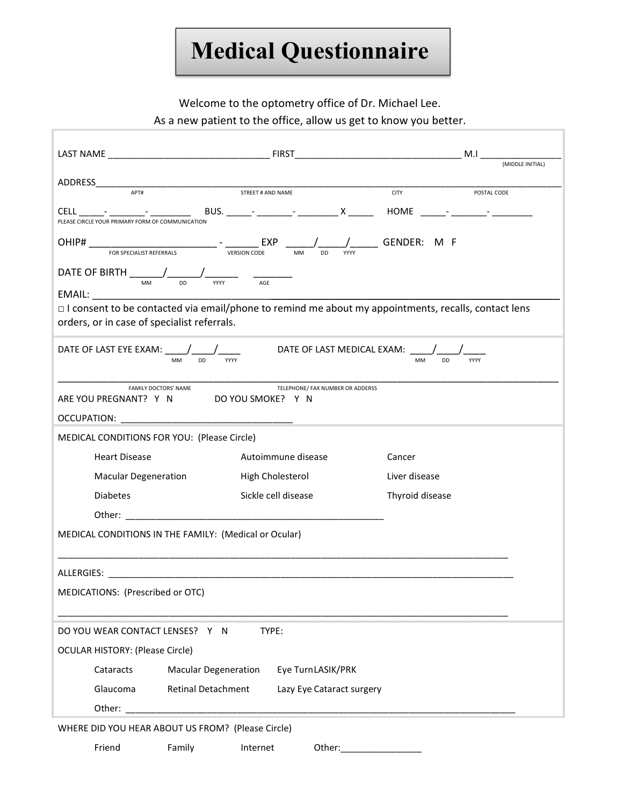## Medical Questionnaire

Welcome to the optometry office of Dr. Michael Lee.

As a new patient to the office, allow us get to know you better.

|                                                                                                                                                                                                           |                             |                   |                           |               | (MIDDLE INITIAL) |  |
|-----------------------------------------------------------------------------------------------------------------------------------------------------------------------------------------------------------|-----------------------------|-------------------|---------------------------|---------------|------------------|--|
|                                                                                                                                                                                                           |                             |                   |                           |               |                  |  |
| ADDRESS APT# APT# STREET # AND NAME                                                                                                                                                                       |                             |                   |                           | <b>CITY</b>   | POSTAL CODE      |  |
| PLEASE CIRCLE YOUR PRIMARY FORM OF COMMUNICATION                                                                                                                                                          |                             |                   |                           |               |                  |  |
|                                                                                                                                                                                                           |                             |                   | <b>DD</b>                 | / GENDER: M F |                  |  |
| DATE OF BIRTH $\underbrace{\qquad \qquad}_{\text{MM}}$ $\underbrace{\qquad \qquad}_{\text{DD}}$ $\underbrace{\qquad \qquad}_{\text{WW}}$ $\qquad \qquad \qquad \qquad \qquad \qquad \qquad}_{\text{AGE}}$ |                             |                   |                           |               |                  |  |
|                                                                                                                                                                                                           |                             |                   |                           |               |                  |  |
| □ I consent to be contacted via email/phone to remind me about my appointments, recalls, contact lens<br>orders, or in case of specialist referrals.                                                      |                             |                   |                           |               |                  |  |
| DATE OF LAST EYE EXAM: ____/____/_________________DATE OF LAST MEDICAL EXAM: ____/____<br><b>MM</b><br><b>DD</b><br><b>MM</b><br><b>DD</b><br>YYYY<br><b>YYYY</b>                                         |                             |                   |                           |               |                  |  |
| <b>FAMILY DOCTORS' NAME</b><br>TELEPHONE/ FAX NUMBER OR ADDERSS<br>ARE YOU PREGNANT? Y N DO YOU SMOKE? Y N                                                                                                |                             |                   |                           |               |                  |  |
|                                                                                                                                                                                                           |                             |                   |                           |               |                  |  |
| MEDICAL CONDITIONS FOR YOU: (Please Circle)                                                                                                                                                               |                             |                   |                           |               |                  |  |
| <b>Heart Disease</b>                                                                                                                                                                                      | Autoimmune disease          |                   | Cancer                    |               |                  |  |
| <b>Macular Degeneration</b>                                                                                                                                                                               | High Cholesterol            |                   | Liver disease             |               |                  |  |
| <b>Diabetes</b>                                                                                                                                                                                           | Sickle cell disease         |                   | Thyroid disease           |               |                  |  |
|                                                                                                                                                                                                           |                             |                   |                           |               |                  |  |
| MEDICAL CONDITIONS IN THE FAMILY: (Medical or Ocular)                                                                                                                                                     |                             |                   |                           |               |                  |  |
|                                                                                                                                                                                                           |                             |                   |                           |               |                  |  |
|                                                                                                                                                                                                           |                             |                   |                           |               |                  |  |
| MEDICATIONS: (Prescribed or OTC)                                                                                                                                                                          |                             |                   |                           |               |                  |  |
| TYPE:<br>DO YOU WEAR CONTACT LENSES? Y N                                                                                                                                                                  |                             |                   |                           |               |                  |  |
| <b>OCULAR HISTORY: (Please Circle)</b>                                                                                                                                                                    |                             |                   |                           |               |                  |  |
| Cataracts                                                                                                                                                                                                 | <b>Macular Degeneration</b> | Eye TurnLASIK/PRK |                           |               |                  |  |
| Glaucoma                                                                                                                                                                                                  | <b>Retinal Detachment</b>   |                   | Lazy Eye Cataract surgery |               |                  |  |
| Other:                                                                                                                                                                                                    |                             |                   |                           |               |                  |  |
| WHERE DID YOU HEAR ABOUT US FROM? (Please Circle)                                                                                                                                                         |                             |                   |                           |               |                  |  |
| Friend                                                                                                                                                                                                    | Family                      | Internet          | Other:___________________ |               |                  |  |